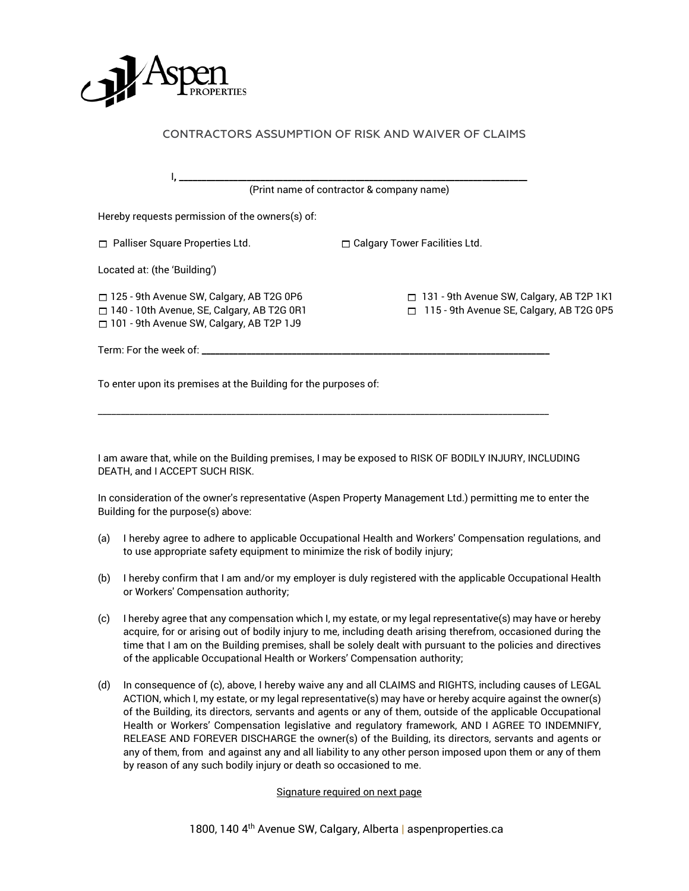

| (Print name of contractor & company name)                                                                                                          |                                                                                                  |
|----------------------------------------------------------------------------------------------------------------------------------------------------|--------------------------------------------------------------------------------------------------|
| Hereby requests permission of the owners(s) of:                                                                                                    |                                                                                                  |
| $\Box$ Palliser Square Properties Ltd.                                                                                                             | $\Box$ Calgary Tower Facilities Ltd.                                                             |
| Located at: (the 'Building')                                                                                                                       |                                                                                                  |
| $\Box$ 125 - 9th Avenue SW, Calgary, AB T2G 0P6<br>□ 140 - 10th Avenue, SE, Calgary, AB T2G 0R1<br>$\Box$ 101 - 9th Avenue SW, Calgary, AB T2P 1J9 | $\Box$ 131 - 9th Avenue SW, Calgary, AB T2P 1K1<br>115 - 9th Avenue SE, Calgary, AB T2G 0P5<br>ш |
| Term: For the week of: _________                                                                                                                   |                                                                                                  |

CONTRACTORS ASSUMPTION OF RISK AND WAIVER OF CLAIMS

I am aware that, while on the Building premises, I may be exposed to RISK OF BODILY INJURY, INCLUDING DEATH, and I ACCEPT SUCH RISK.

\_\_\_\_\_\_\_\_\_\_\_\_\_\_\_\_\_\_\_\_\_\_\_\_\_\_\_\_\_\_\_\_\_\_\_\_\_\_\_\_\_\_\_\_\_\_\_\_\_\_\_\_\_\_\_\_\_\_\_\_\_\_\_\_\_\_\_\_\_\_\_\_\_\_\_\_\_\_\_\_\_\_\_\_\_\_\_\_\_\_\_\_\_\_\_\_\_\_

To enter upon its premises at the Building for the purposes of:

In consideration of the owner's representative (Aspen Property Management Ltd.) permitting me to enter the Building for the purpose(s) above:

- (a) I hereby agree to adhere to applicable Occupational Health and Workers' Compensation regulations, and to use appropriate safety equipment to minimize the risk of bodily injury;
- (b) I hereby confirm that I am and/or my employer is duly registered with the applicable Occupational Health or Workers' Compensation authority;
- (c) I hereby agree that any compensation which I, my estate, or my legal representative(s) may have or hereby acquire, for or arising out of bodily injury to me, including death arising therefrom, occasioned during the time that I am on the Building premises, shall be solely dealt with pursuant to the policies and directives of the applicable Occupational Health or Workers' Compensation authority;
- (d) In consequence of (c), above, I hereby waive any and all CLAIMS and RIGHTS, including causes of LEGAL ACTION, which I, my estate, or my legal representative(s) may have or hereby acquire against the owner(s) of the Building, its directors, servants and agents or any of them, outside of the applicable Occupational Health or Workers' Compensation legislative and regulatory framework, AND I AGREE TO INDEMNIFY, RELEASE AND FOREVER DISCHARGE the owner(s) of the Building, its directors, servants and agents or any of them, from and against any and all liability to any other person imposed upon them or any of them by reason of any such bodily injury or death so occasioned to me.

## Signature required on next page